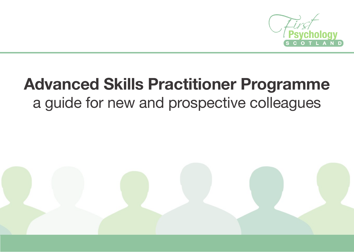

# **Advanced Skills Practitioner Programme** a guide for new and prospective colleagues

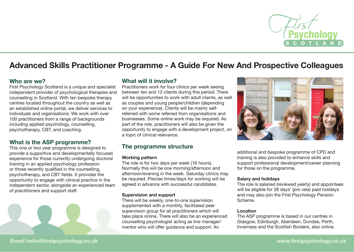

## **Advanced Skills Practitioner Programme - A Guide For New And Prospective Colleagues**

## **Who are we?**

First Psychology Scotland is a unique and specialist independent provider of psychological therapies and counselling in Scotland. With ten bespoke therapy centres located throughout the country as well as an established online portal, we deliver services to individuals and organisations. We work with over 100 practitioners from a range of backgrounds including applied psychology, counselling, psychotherapy, CBT, and coaching.

## **What is the ASP programme?**

This one or two year programme is designed to provide a supportive and developmentally focused experience for those currently undergoing doctoral training in an applied psychology profession or those recently qualified in the counselling, psychotherapy, and CBT fields. It provides the opportunity to engage with clinical practice in the independent sector, alongside an experienced team of practitioners and support staff.



## **What will it involve?**

Practitioners work for four clinics per week seeing between ten and 12 clients during this period. There will be opportunities to work with adult clients, as well as couples and young people/children (depending on your experience). Clients will be mainly selfreferred with some referred from organisations and businesses. Some online work may be required. As part of the role, practitioners will also be given the opportunity to engage with a development project, on a topic of clinical relevance.

## **The programme structure**

#### **Working pattern**

The role is for two days per week (16 hours). Normally this will be one morning/afternoon and afternoon/evening in the week. Saturday clinics may be required. Precise times/days for working will be agreed in advance with successful candidates.

#### **Supervision and support**

There will be weekly, one-to-one supervision supplemented with a monthly, facilitated peer supervision group for all practitioners which will take place online. There will also be an experienced counselling psychologist acting as line manager/ mentor who will offer guidance and support. An



additional and bespoke programme of CPD and training is also provided to enhance skills and support professional development/career planning for those on the programme.

#### **Salary and holidays**

The role is salaried (reviewed yearly) and appointees will be eligible for 28 days' (*pro rata*) paid holidays and may also join the First Psychology Pension Scheme.

#### **Location**

The ASP programme is based in our centres in Glasgow, Edinburgh, Aberdeen, Dundee, Perth, Inverness and the Scottish Borders, also online.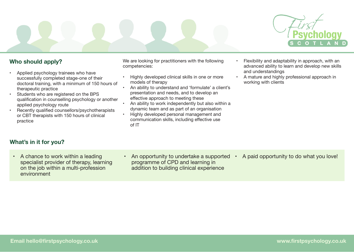

## **Who should apply?**

- Applied psychology trainees who have successfully completed stage-one of their doctoral training, with a minimum of 150 hours of therapeutic practice
- Students who are registered on the BPS qualification in counselling psychology or another applied psychology route
- Recently qualified counsellors/psychotherapists or CBT therapists with 150 hours of clinical practice

We are looking for practitioners with the following competencies:

- Highly developed clinical skills in one or more models of therapy
- An ability to understand and 'formulate' a client's presentation and needs, and to develop an effective approach to meeting these
- An ability to work independently but also within a dynamic team and as part of an organisation
- Highly developed personal management and communication skills, including effective use of IT
- Flexibility and adaptability in approach, with an advanced ability to learn and develop new skills and understandings
- A mature and highly professional approach in working with clients

## **What's in it for you?**

- A chance to work within a leading specialist provider of therapy, learning on the job within a multi-profession environment
- An opportunity to undertake a supported programme of CPD and learning in addition to building clinical experience
- A paid opportunity to do what you love!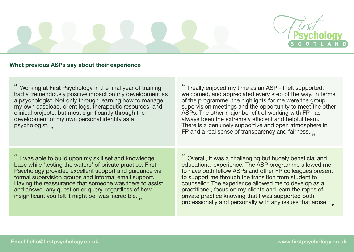

## **What previous ASPs say about their experience**

Working at First Psychology in the final year of training had a tremendously positive impact on my development as a psychologist. Not only through learning how to manage my own caseload, client logs, therapeutic resources, and clinical projects, but most significantly through the development of my own personal identity as a psychologist.  $'' - 9 - 9 - 10$ 

" I really enjoyed my time as an ASP - I felt supported, welcomed, and appreciated every step of the way. In terms of the programme, the highlights for me were the group supervision meetings and the opportunity to meet the other ASPs. The other major benefit of working with FP has always been the extremely efficient and helpful team. There is a genuinely supportive and open atmosphere in FP and a real sense of transparency and fairness.

" I was able to build upon my skill set and knowledge base while 'testing the waters' of private practice. First Psychology provided excellent support and guidance via formal supervision groups and informal email support. Having the reassurance that someone was there to assist and answer any question or query, regardless of how insignificant you felt it might be, was incredible. "

Overall, it was a challenging but hugely beneficial and educational experience. The ASP programme allowed me to have both fellow ASPs and other FP colleagues present to support me through the transition from student to counsellor. The experience allowed me to develop as a practitioner, focus on my clients and learn the ropes of private practice knowing that I was supported both professionally and personally with any issues that arose. ", "